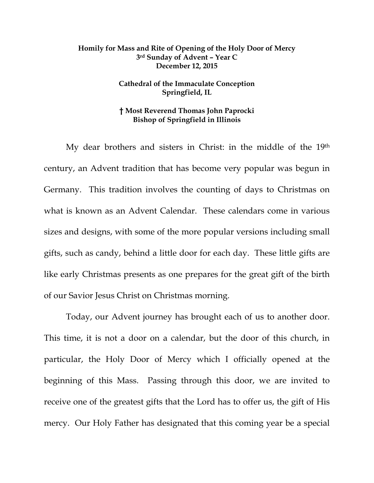## **Homily for Mass and Rite of Opening of the Holy Door of Mercy 3rd Sunday of Advent – Year C December 12, 2015**

## **Cathedral of the Immaculate Conception Springfield, IL**

## **† Most Reverend Thomas John Paprocki Bishop of Springfield in Illinois**

 My dear brothers and sisters in Christ: in the middle of the 19th century, an Advent tradition that has become very popular was begun in Germany. This tradition involves the counting of days to Christmas on what is known as an Advent Calendar. These calendars come in various sizes and designs, with some of the more popular versions including small gifts, such as candy, behind a little door for each day. These little gifts are like early Christmas presents as one prepares for the great gift of the birth of our Savior Jesus Christ on Christmas morning.

 Today, our Advent journey has brought each of us to another door. This time, it is not a door on a calendar, but the door of this church, in particular, the Holy Door of Mercy which I officially opened at the beginning of this Mass. Passing through this door, we are invited to receive one of the greatest gifts that the Lord has to offer us, the gift of His mercy. Our Holy Father has designated that this coming year be a special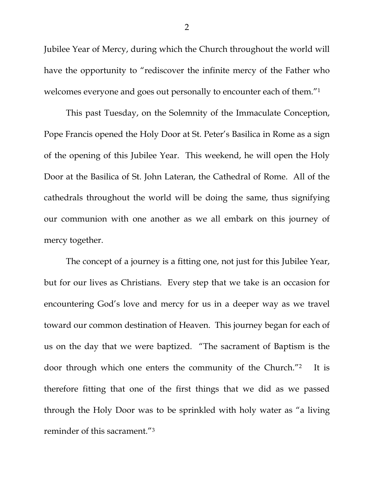Jubilee Year of Mercy, during which the Church throughout the world will have the opportunity to "rediscover the infinite mercy of the Father who welcomes everyone and goes out personally to encounter each of them."1

 This past Tuesday, on the Solemnity of the Immaculate Conception, Pope Francis opened the Holy Door at St. Peter's Basilica in Rome as a sign of the opening of this Jubilee Year. This weekend, he will open the Holy Door at the Basilica of St. John Lateran, the Cathedral of Rome. All of the cathedrals throughout the world will be doing the same, thus signifying our communion with one another as we all embark on this journey of mercy together.

 The concept of a journey is a fitting one, not just for this Jubilee Year, but for our lives as Christians. Every step that we take is an occasion for encountering God's love and mercy for us in a deeper way as we travel toward our common destination of Heaven. This journey began for each of us on the day that we were baptized. "The sacrament of Baptism is the door through which one enters the community of the Church."2 It is therefore fitting that one of the first things that we did as we passed through the Holy Door was to be sprinkled with holy water as "a living reminder of this sacrament."3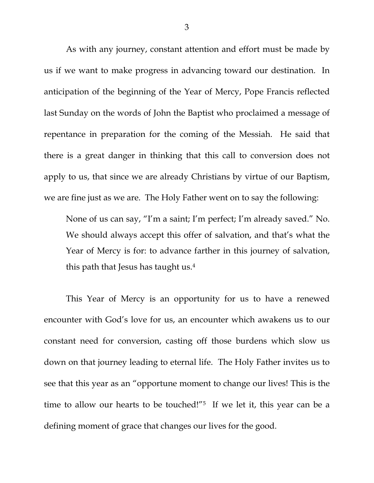As with any journey, constant attention and effort must be made by us if we want to make progress in advancing toward our destination. In anticipation of the beginning of the Year of Mercy, Pope Francis reflected last Sunday on the words of John the Baptist who proclaimed a message of repentance in preparation for the coming of the Messiah. He said that there is a great danger in thinking that this call to conversion does not apply to us, that since we are already Christians by virtue of our Baptism, we are fine just as we are. The Holy Father went on to say the following:

None of us can say, "I'm a saint; I'm perfect; I'm already saved." No. We should always accept this offer of salvation, and that's what the Year of Mercy is for: to advance farther in this journey of salvation, this path that Jesus has taught us.4

This Year of Mercy is an opportunity for us to have a renewed encounter with God's love for us, an encounter which awakens us to our constant need for conversion, casting off those burdens which slow us down on that journey leading to eternal life. The Holy Father invites us to see that this year as an "opportune moment to change our lives! This is the time to allow our hearts to be touched!"<sup>5</sup> If we let it, this year can be a defining moment of grace that changes our lives for the good.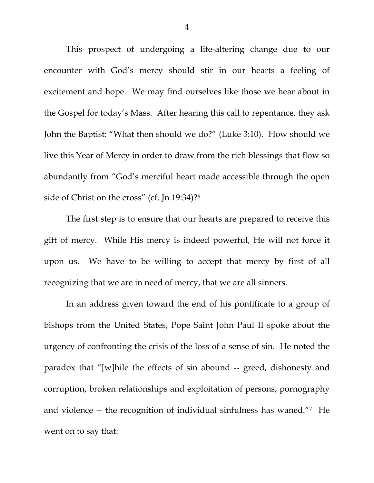This prospect of undergoing a life-altering change due to our encounter with God's mercy should stir in our hearts a feeling of excitement and hope. We may find ourselves like those we hear about in the Gospel for today's Mass. After hearing this call to repentance, they ask John the Baptist: "What then should we do?" (Luke 3:10). How should we live this Year of Mercy in order to draw from the rich blessings that flow so abundantly from "God's merciful heart made accessible through the open side of Christ on the cross" (cf. Jn 19:34)?6

The first step is to ensure that our hearts are prepared to receive this gift of mercy. While His mercy is indeed powerful, He will not force it upon us. We have to be willing to accept that mercy by first of all recognizing that we are in need of mercy, that we are all sinners.

In an address given toward the end of his pontificate to a group of bishops from the United States, Pope Saint John Paul II spoke about the urgency of confronting the crisis of the loss of a sense of sin. He noted the paradox that "[w]hile the effects of sin abound -- greed, dishonesty and corruption, broken relationships and exploitation of persons, pornography and violence -- the recognition of individual sinfulness has waned."7 He went on to say that: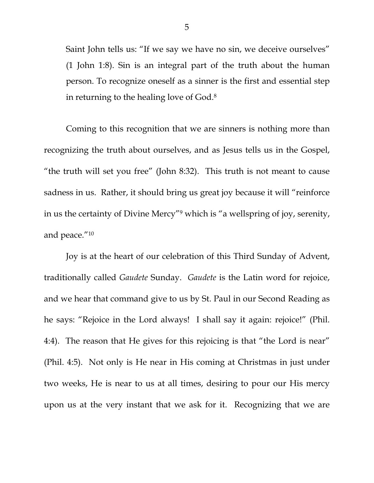Saint John tells us: "If we say we have no sin, we deceive ourselves" (1 John 1:8). Sin is an integral part of the truth about the human person. To recognize oneself as a sinner is the first and essential step in returning to the healing love of God.8

Coming to this recognition that we are sinners is nothing more than recognizing the truth about ourselves, and as Jesus tells us in the Gospel, "the truth will set you free" (John 8:32). This truth is not meant to cause sadness in us. Rather, it should bring us great joy because it will "reinforce in us the certainty of Divine Mercy"9 which is "a wellspring of joy, serenity, and peace."10

Joy is at the heart of our celebration of this Third Sunday of Advent, traditionally called *Gaudete* Sunday. *Gaudete* is the Latin word for rejoice, and we hear that command give to us by St. Paul in our Second Reading as he says: "Rejoice in the Lord always! I shall say it again: rejoice!" (Phil. 4:4). The reason that He gives for this rejoicing is that "the Lord is near" (Phil. 4:5). Not only is He near in His coming at Christmas in just under two weeks, He is near to us at all times, desiring to pour our His mercy upon us at the very instant that we ask for it. Recognizing that we are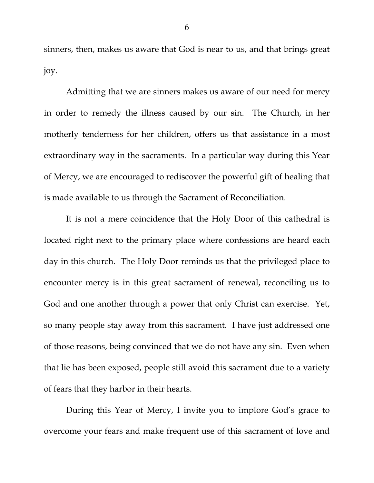sinners, then, makes us aware that God is near to us, and that brings great joy.

Admitting that we are sinners makes us aware of our need for mercy in order to remedy the illness caused by our sin. The Church, in her motherly tenderness for her children, offers us that assistance in a most extraordinary way in the sacraments. In a particular way during this Year of Mercy, we are encouraged to rediscover the powerful gift of healing that is made available to us through the Sacrament of Reconciliation.

It is not a mere coincidence that the Holy Door of this cathedral is located right next to the primary place where confessions are heard each day in this church. The Holy Door reminds us that the privileged place to encounter mercy is in this great sacrament of renewal, reconciling us to God and one another through a power that only Christ can exercise. Yet, so many people stay away from this sacrament. I have just addressed one of those reasons, being convinced that we do not have any sin. Even when that lie has been exposed, people still avoid this sacrament due to a variety of fears that they harbor in their hearts.

During this Year of Mercy, I invite you to implore God's grace to overcome your fears and make frequent use of this sacrament of love and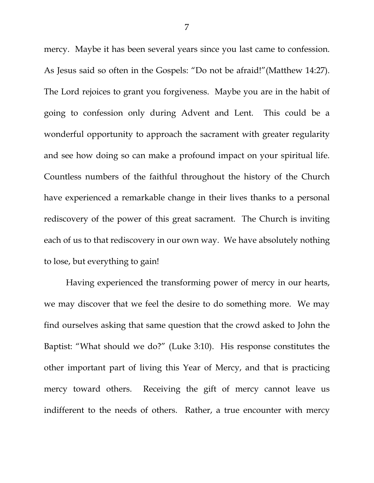mercy. Maybe it has been several years since you last came to confession. As Jesus said so often in the Gospels: "Do not be afraid!"(Matthew 14:27). The Lord rejoices to grant you forgiveness. Maybe you are in the habit of going to confession only during Advent and Lent. This could be a wonderful opportunity to approach the sacrament with greater regularity and see how doing so can make a profound impact on your spiritual life. Countless numbers of the faithful throughout the history of the Church have experienced a remarkable change in their lives thanks to a personal rediscovery of the power of this great sacrament. The Church is inviting each of us to that rediscovery in our own way. We have absolutely nothing to lose, but everything to gain!

Having experienced the transforming power of mercy in our hearts, we may discover that we feel the desire to do something more. We may find ourselves asking that same question that the crowd asked to John the Baptist: "What should we do?" (Luke 3:10). His response constitutes the other important part of living this Year of Mercy, and that is practicing mercy toward others. Receiving the gift of mercy cannot leave us indifferent to the needs of others. Rather, a true encounter with mercy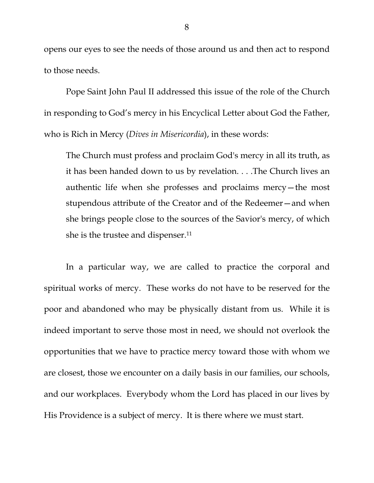opens our eyes to see the needs of those around us and then act to respond to those needs.

Pope Saint John Paul II addressed this issue of the role of the Church in responding to God's mercy in his Encyclical Letter about God the Father, who is Rich in Mercy (*Dives in Misericordia*), in these words:

The Church must profess and proclaim God's mercy in all its truth, as it has been handed down to us by revelation. . . .The Church lives an authentic life when she professes and proclaims mercy—the most stupendous attribute of the Creator and of the Redeemer—and when she brings people close to the sources of the Savior's mercy, of which she is the trustee and dispenser.<sup>11</sup>

In a particular way, we are called to practice the corporal and spiritual works of mercy. These works do not have to be reserved for the poor and abandoned who may be physically distant from us. While it is indeed important to serve those most in need, we should not overlook the opportunities that we have to practice mercy toward those with whom we are closest, those we encounter on a daily basis in our families, our schools, and our workplaces. Everybody whom the Lord has placed in our lives by His Providence is a subject of mercy. It is there where we must start.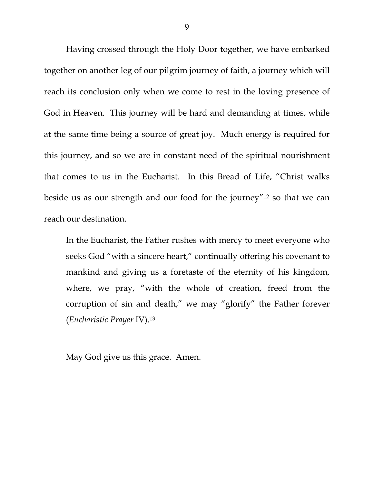Having crossed through the Holy Door together, we have embarked together on another leg of our pilgrim journey of faith, a journey which will reach its conclusion only when we come to rest in the loving presence of God in Heaven. This journey will be hard and demanding at times, while at the same time being a source of great joy. Much energy is required for this journey, and so we are in constant need of the spiritual nourishment that comes to us in the Eucharist. In this Bread of Life, "Christ walks beside us as our strength and our food for the journey"12 so that we can reach our destination.

In the Eucharist, the Father rushes with mercy to meet everyone who seeks God "with a sincere heart," continually offering his covenant to mankind and giving us a foretaste of the eternity of his kingdom, where, we pray, "with the whole of creation, freed from the corruption of sin and death," we may "glorify" the Father forever (*Eucharistic Prayer* IV).13

May God give us this grace. Amen.